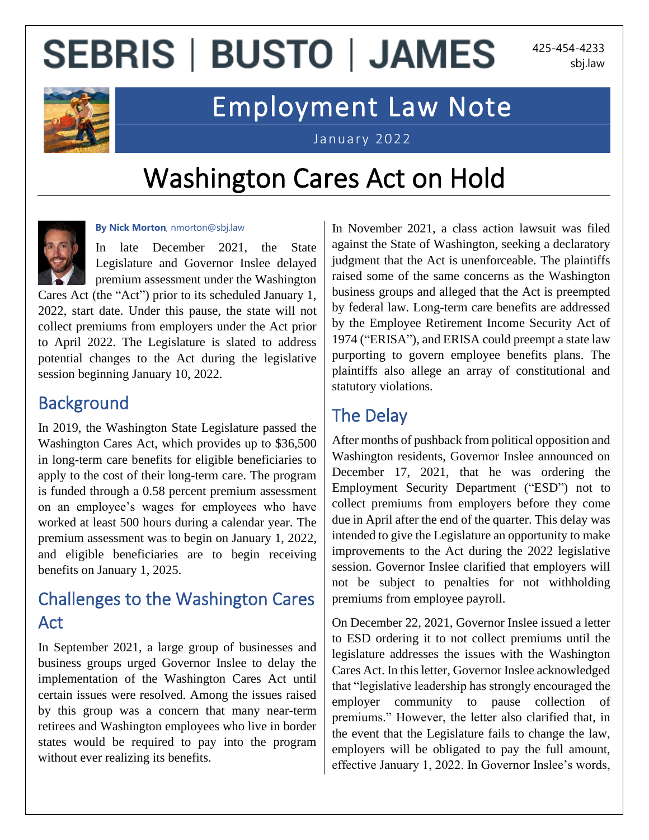## **SEBRIS | BUSTO | JAMES**

425-454-4233 sbj.law



### Employment Law Note

January 2022

## Washington Cares Act on Hold



#### **By Nick Morton**, nmorton@sbj.law

In late December 2021, the State Legislature and Governor Inslee delayed premium assessment under the Washington

Cares Act (the "Act") prior to its scheduled January 1, 2022, start date. Under this pause, the state will not collect premiums from employers under the Act prior to April 2022. The Legislature is slated to address potential changes to the Act during the legislative session beginning January 10, 2022.

#### **Background**

In 2019, the Washington State Legislature passed the Washington Cares Act, which provides up to \$36,500 in long-term care benefits for eligible beneficiaries to apply to the cost of their long-term care. The program is funded through a 0.58 percent premium assessment on an employee's wages for employees who have worked at least 500 hours during a calendar year. The premium assessment was to begin on January 1, 2022, and eligible beneficiaries are to begin receiving benefits on January 1, 2025.

### Challenges to the Washington Cares Act

In September 2021, a large group of businesses and business groups urged Governor Inslee to delay the implementation of the Washington Cares Act until certain issues were resolved. Among the issues raised by this group was a concern that many near-term retirees and Washington employees who live in border states would be required to pay into the program without ever realizing its benefits.

In November 2021, a class action lawsuit was filed against the State of Washington, seeking a declaratory judgment that the Act is unenforceable. The plaintiffs raised some of the same concerns as the Washington business groups and alleged that the Act is preempted by federal law. Long-term care benefits are addressed by the Employee Retirement Income Security Act of 1974 ("ERISA"), and ERISA could preempt a state law purporting to govern employee benefits plans. The plaintiffs also allege an array of constitutional and statutory violations.

### The Delay

After months of pushback from political opposition and Washington residents, Governor Inslee announced on December 17, 2021, that he was ordering the Employment Security Department ("ESD") not to collect premiums from employers before they come due in April after the end of the quarter. This delay was intended to give the Legislature an opportunity to make improvements to the Act during the 2022 legislative session. Governor Inslee clarified that employers will not be subject to penalties for not withholding premiums from employee payroll.

On December 22, 2021, Governor Inslee issued a letter to ESD ordering it to not collect premiums until the legislature addresses the issues with the Washington Cares Act. In this letter, Governor Inslee acknowledged that "legislative leadership has strongly encouraged the employer community to pause collection of premiums." However, the letter also clarified that, in the event that the Legislature fails to change the law, employers will be obligated to pay the full amount, effective January 1, 2022. In Governor Inslee's words,